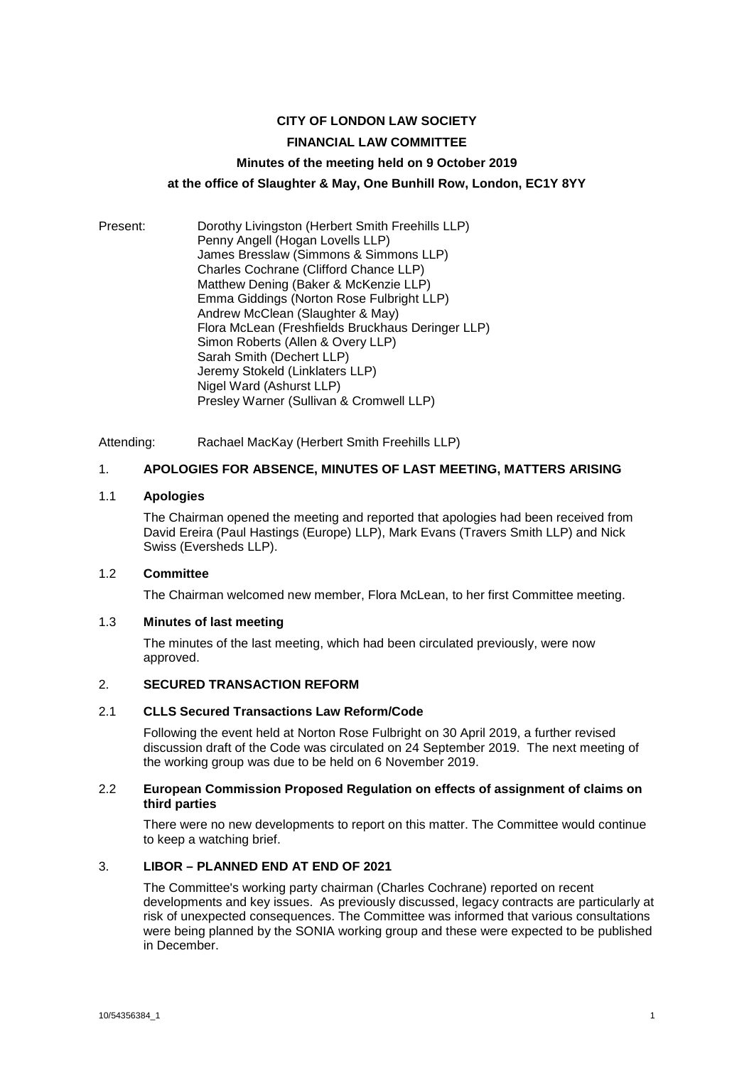# **CITY OF LONDON LAW SOCIETY**

# **FINANCIAL LAW COMMITTEE**

# **Minutes of the meeting held on 9 October 2019**

# **at the office of Slaughter & May, One Bunhill Row, London, EC1Y 8YY**

Present: Dorothy Livingston (Herbert Smith Freehills LLP) Penny Angell (Hogan Lovells LLP) James Bresslaw (Simmons & Simmons LLP) Charles Cochrane (Clifford Chance LLP) Matthew Dening (Baker & McKenzie LLP) Emma Giddings (Norton Rose Fulbright LLP) Andrew McClean (Slaughter & May) Flora McLean (Freshfields Bruckhaus Deringer LLP) Simon Roberts (Allen & Overy LLP) Sarah Smith (Dechert LLP) Jeremy Stokeld (Linklaters LLP) Nigel Ward (Ashurst LLP) Presley Warner (Sullivan & Cromwell LLP)

Attending: Rachael MacKay (Herbert Smith Freehills LLP)

# 1. **APOLOGIES FOR ABSENCE, MINUTES OF LAST MEETING, MATTERS ARISING**

#### 1.1 **Apologies**

The Chairman opened the meeting and reported that apologies had been received from David Ereira (Paul Hastings (Europe) LLP), Mark Evans (Travers Smith LLP) and Nick Swiss (Eversheds LLP).

# 1.2 **Committee**

The Chairman welcomed new member, Flora McLean, to her first Committee meeting.

### 1.3 **Minutes of last meeting**

The minutes of the last meeting, which had been circulated previously, were now approved.

# 2. **SECURED TRANSACTION REFORM**

# 2.1 **CLLS Secured Transactions Law Reform/Code**

Following the event held at Norton Rose Fulbright on 30 April 2019, a further revised discussion draft of the Code was circulated on 24 September 2019. The next meeting of the working group was due to be held on 6 November 2019.

#### 2.2 **European Commission Proposed Regulation on effects of assignment of claims on third parties**

There were no new developments to report on this matter. The Committee would continue to keep a watching brief.

## 3. **LIBOR – PLANNED END AT END OF 2021**

The Committee's working party chairman (Charles Cochrane) reported on recent developments and key issues. As previously discussed, legacy contracts are particularly at risk of unexpected consequences. The Committee was informed that various consultations were being planned by the SONIA working group and these were expected to be published in December.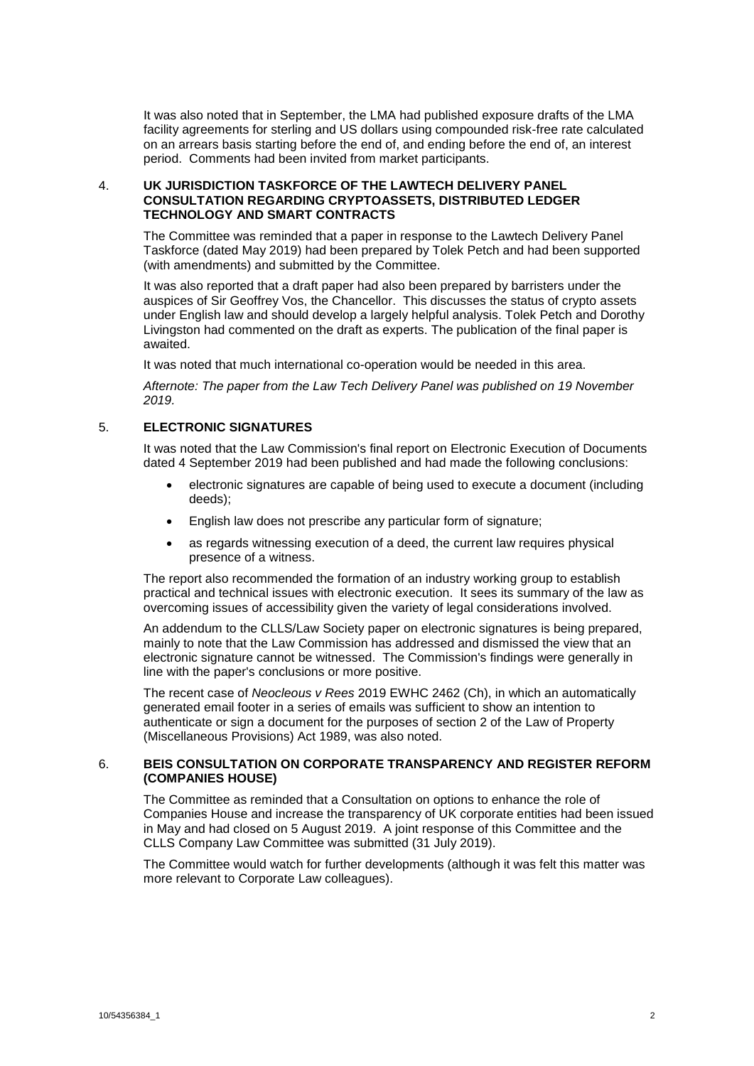It was also noted that in September, the LMA had published exposure drafts of the LMA facility agreements for sterling and US dollars using compounded risk-free rate calculated on an arrears basis starting before the end of, and ending before the end of, an interest period. Comments had been invited from market participants.

# 4. **UK JURISDICTION TASKFORCE OF THE LAWTECH DELIVERY PANEL CONSULTATION REGARDING CRYPTOASSETS, DISTRIBUTED LEDGER TECHNOLOGY AND SMART CONTRACTS**

The Committee was reminded that a paper in response to the Lawtech Delivery Panel Taskforce (dated May 2019) had been prepared by Tolek Petch and had been supported (with amendments) and submitted by the Committee.

It was also reported that a draft paper had also been prepared by barristers under the auspices of Sir Geoffrey Vos, the Chancellor. This discusses the status of crypto assets under English law and should develop a largely helpful analysis. Tolek Petch and Dorothy Livingston had commented on the draft as experts. The publication of the final paper is awaited.

It was noted that much international co-operation would be needed in this area.

*Afternote: The paper from the Law Tech Delivery Panel was published on 19 November 2019.*

# 5. **ELECTRONIC SIGNATURES**

It was noted that the Law Commission's final report on Electronic Execution of Documents dated 4 September 2019 had been published and had made the following conclusions:

- electronic signatures are capable of being used to execute a document (including deeds);
- English law does not prescribe any particular form of signature;
- as regards witnessing execution of a deed, the current law requires physical presence of a witness.

The report also recommended the formation of an industry working group to establish practical and technical issues with electronic execution. It sees its summary of the law as overcoming issues of accessibility given the variety of legal considerations involved.

An addendum to the CLLS/Law Society paper on electronic signatures is being prepared, mainly to note that the Law Commission has addressed and dismissed the view that an electronic signature cannot be witnessed. The Commission's findings were generally in line with the paper's conclusions or more positive.

The recent case of *Neocleous v Rees* 2019 EWHC 2462 (Ch), in which an automatically generated email footer in a series of emails was sufficient to show an intention to authenticate or sign a document for the purposes of section 2 of the Law of Property (Miscellaneous Provisions) Act 1989, was also noted.

# 6. **BEIS CONSULTATION ON CORPORATE TRANSPARENCY AND REGISTER REFORM (COMPANIES HOUSE)**

The Committee as reminded that a Consultation on options to enhance the role of Companies House and increase the transparency of UK corporate entities had been issued in May and had closed on 5 August 2019. A joint response of this Committee and the CLLS Company Law Committee was submitted (31 July 2019).

The Committee would watch for further developments (although it was felt this matter was more relevant to Corporate Law colleagues).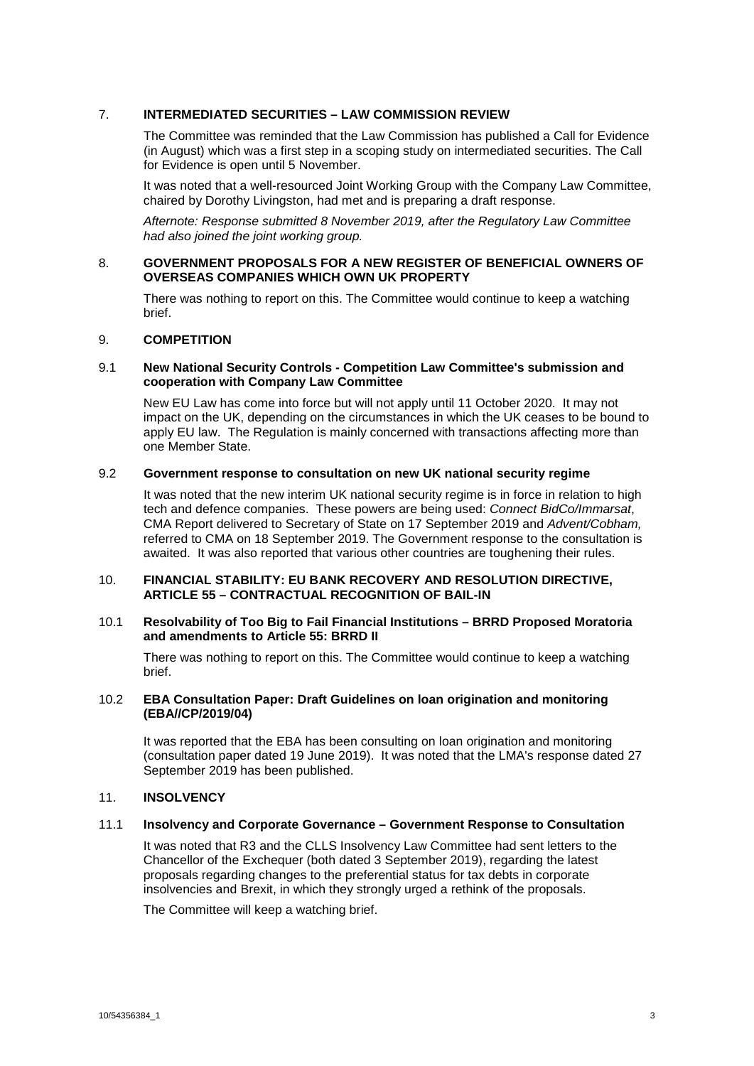# 7. **INTERMEDIATED SECURITIES – LAW COMMISSION REVIEW**

The Committee was reminded that the Law Commission has published a Call for Evidence (in August) which was a first step in a scoping study on intermediated securities. The Call for Evidence is open until 5 November.

It was noted that a well-resourced Joint Working Group with the Company Law Committee, chaired by Dorothy Livingston, had met and is preparing a draft response.

*Afternote: Response submitted 8 November 2019, after the Regulatory Law Committee had also joined the joint working group.*

#### 8. **GOVERNMENT PROPOSALS FOR A NEW REGISTER OF BENEFICIAL OWNERS OF OVERSEAS COMPANIES WHICH OWN UK PROPERTY**

There was nothing to report on this. The Committee would continue to keep a watching brief.

# 9. **COMPETITION**

#### 9.1 **New National Security Controls - Competition Law Committee's submission and cooperation with Company Law Committee**

New EU Law has come into force but will not apply until 11 October 2020. It may not impact on the UK, depending on the circumstances in which the UK ceases to be bound to apply EU law. The Regulation is mainly concerned with transactions affecting more than one Member State.

#### 9.2 **Government response to consultation on new UK national security regime**

It was noted that the new interim UK national security regime is in force in relation to high tech and defence companies. These powers are being used: *Connect BidCo/Immarsat*, CMA Report delivered to Secretary of State on 17 September 2019 and *Advent/Cobham,* referred to CMA on 18 September 2019. The Government response to the consultation is awaited. It was also reported that various other countries are toughening their rules.

#### 10. **FINANCIAL STABILITY: EU BANK RECOVERY AND RESOLUTION DIRECTIVE, ARTICLE 55 – CONTRACTUAL RECOGNITION OF BAIL-IN**

#### 10.1 **Resolvability of Too Big to Fail Financial Institutions – BRRD Proposed Moratoria and amendments to Article 55: BRRD II**

There was nothing to report on this. The Committee would continue to keep a watching brief.

### 10.2 **EBA Consultation Paper: Draft Guidelines on loan origination and monitoring (EBA//CP/2019/04)**

It was reported that the EBA has been consulting on loan origination and monitoring (consultation paper dated 19 June 2019). It was noted that the LMA's response dated 27 September 2019 has been published.

#### 11. **INSOLVENCY**

#### 11.1 **Insolvency and Corporate Governance – Government Response to Consultation**

It was noted that R3 and the CLLS Insolvency Law Committee had sent letters to the Chancellor of the Exchequer (both dated 3 September 2019), regarding the latest proposals regarding changes to the preferential status for tax debts in corporate insolvencies and Brexit, in which they strongly urged a rethink of the proposals.

The Committee will keep a watching brief.